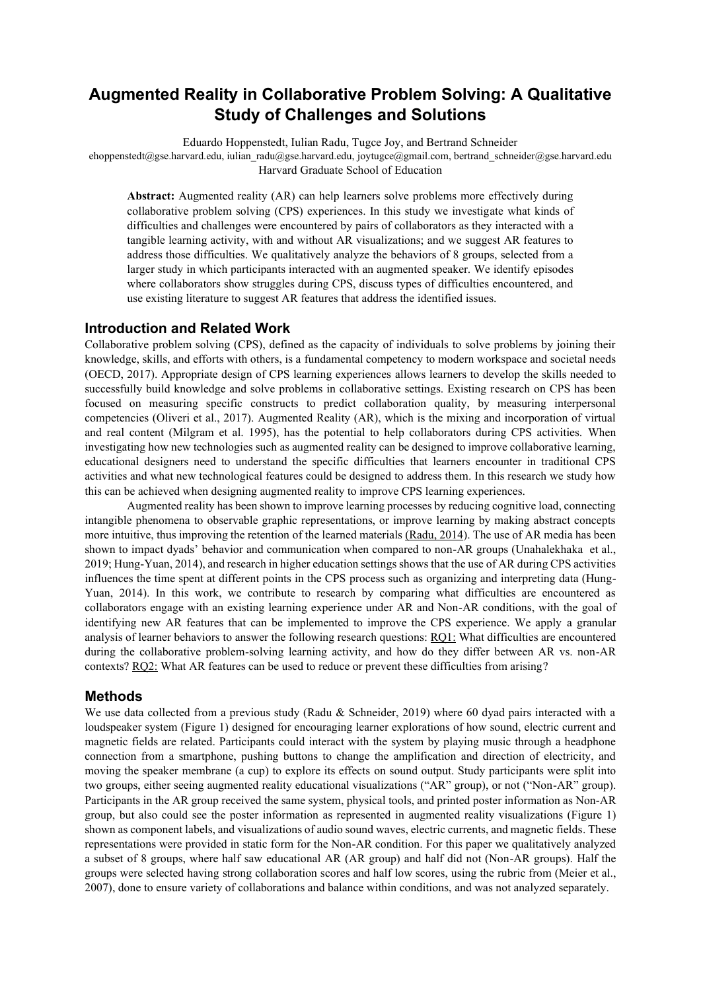# **Augmented Reality in Collaborative Problem Solving: A Qualitative Study of Challenges and Solutions**

Eduardo Hoppenstedt, Iulian Radu, Tugce Joy, and Bertrand Schneider

ehoppenstedt@gse.harvard.edu, iulian\_radu@gse.harvard.edu, joytugce@gmail.com, bertrand\_schneider@gse.harvard.edu Harvard Graduate School of Education

**Abstract:** Augmented reality (AR) can help learners solve problems more effectively during collaborative problem solving (CPS) experiences. In this study we investigate what kinds of difficulties and challenges were encountered by pairs of collaborators as they interacted with a tangible learning activity, with and without AR visualizations; and we suggest AR features to address those difficulties. We qualitatively analyze the behaviors of 8 groups, selected from a larger study in which participants interacted with an augmented speaker. We identify episodes where collaborators show struggles during CPS, discuss types of difficulties encountered, and use existing literature to suggest AR features that address the identified issues.

## **Introduction and Related Work**

Collaborative problem solving (CPS), defined as the capacity of individuals to solve problems by joining their knowledge, skills, and efforts with others, is a fundamental competency to modern workspace and societal needs (OECD, 2017). Appropriate design of CPS learning experiences allows learners to develop the skills needed to successfully build knowledge and solve problems in collaborative settings. Existing research on CPS has been focused on measuring specific constructs to predict collaboration quality, by measuring interpersonal competencies (Oliveri et al., 2017). Augmented Reality (AR), which is the mixing and incorporation of virtual and real content (Milgram et al. 1995), has the potential to help collaborators during CPS activities. When investigating how new technologies such as augmented reality can be designed to improve collaborative learning, educational designers need to understand the specific difficulties that learners encounter in traditional CPS activities and what new technological features could be designed to address them. In this research we study how this can be achieved when designing augmented reality to improve CPS learning experiences.

Augmented reality has been shown to improve learning processes by reducing cognitive load, connecting intangible phenomena to observable graphic representations, or improve learning by making abstract concepts more intuitive, thus improving the retention of the learned materials (Radu, 2014). The use of AR media has been shown to impact dyads' behavior and communication when compared to non-AR groups (Unahalekhaka et al., 2019; Hung-Yuan, 2014), and research in higher education settings shows that the use of AR during CPS activities influences the time spent at different points in the CPS process such as organizing and interpreting data (Hung-Yuan, 2014). In this work, we contribute to research by comparing what difficulties are encountered as collaborators engage with an existing learning experience under AR and Non-AR conditions, with the goal of identifying new AR features that can be implemented to improve the CPS experience. We apply a granular analysis of learner behaviors to answer the following research questions: RQ1: What difficulties are encountered during the collaborative problem-solving learning activity, and how do they differ between AR vs. non-AR contexts? RQ2: What AR features can be used to reduce or prevent these difficulties from arising?

### **Methods**

We use data collected from a previous study (Radu & Schneider, 2019) where 60 dyad pairs interacted with a loudspeaker system (Figure 1) designed for encouraging learner explorations of how sound, electric current and magnetic fields are related. Participants could interact with the system by playing music through a headphone connection from a smartphone, pushing buttons to change the amplification and direction of electricity, and moving the speaker membrane (a cup) to explore its effects on sound output. Study participants were split into two groups, either seeing augmented reality educational visualizations ("AR" group), or not ("Non-AR" group). Participants in the AR group received the same system, physical tools, and printed poster information as Non-AR group, but also could see the poster information as represented in augmented reality visualizations (Figure 1) shown as component labels, and visualizations of audio sound waves, electric currents, and magnetic fields. These representations were provided in static form for the Non-AR condition. For this paper we qualitatively analyzed a subset of 8 groups, where half saw educational AR (AR group) and half did not (Non-AR groups). Half the groups were selected having strong collaboration scores and half low scores, using the rubric from (Meier et al., 2007), done to ensure variety of collaborations and balance within conditions, and was not analyzed separately.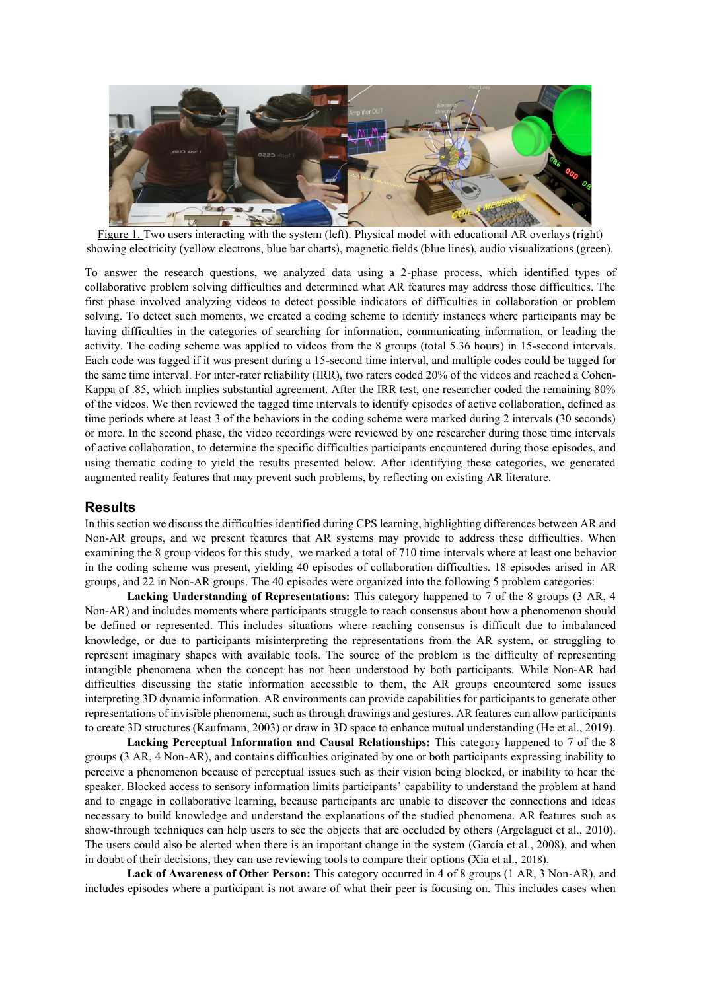

Figure 1. Two users interacting with the system (left). Physical model with educational AR overlays (right) showing electricity (yellow electrons, blue bar charts), magnetic fields (blue lines), audio visualizations (green).

To answer the research questions, we analyzed data using a 2-phase process, which identified types of collaborative problem solving difficulties and determined what AR features may address those difficulties. The first phase involved analyzing videos to detect possible indicators of difficulties in collaboration or problem solving. To detect such moments, we created a coding scheme to identify instances where participants may be having difficulties in the categories of searching for information, communicating information, or leading the activity. The coding scheme was applied to videos from the 8 groups (total 5.36 hours) in 15-second intervals. Each code was tagged if it was present during a 15-second time interval, and multiple codes could be tagged for the same time interval. For inter-rater reliability (IRR), two raters coded 20% of the videos and reached a Cohen-Kappa of .85, which implies substantial agreement. After the IRR test, one researcher coded the remaining 80% of the videos. We then reviewed the tagged time intervals to identify episodes of active collaboration, defined as time periods where at least 3 of the behaviors in the coding scheme were marked during 2 intervals (30 seconds) or more. In the second phase, the video recordings were reviewed by one researcher during those time intervals of active collaboration, to determine the specific difficulties participants encountered during those episodes, and using thematic coding to yield the results presented below. After identifying these categories, we generated augmented reality features that may prevent such problems, by reflecting on existing AR literature.

### **Results**

In this section we discuss the difficulties identified during CPS learning, highlighting differences between AR and Non-AR groups, and we present features that AR systems may provide to address these difficulties. When examining the 8 group videos for this study, we marked a total of 710 time intervals where at least one behavior in the coding scheme was present, yielding 40 episodes of collaboration difficulties. 18 episodes arised in AR groups, and 22 in Non-AR groups. The 40 episodes were organized into the following 5 problem categories:

**Lacking Understanding of Representations:** This category happened to 7 of the 8 groups (3 AR, 4 Non-AR) and includes moments where participants struggle to reach consensus about how a phenomenon should be defined or represented. This includes situations where reaching consensus is difficult due to imbalanced knowledge, or due to participants misinterpreting the representations from the AR system, or struggling to represent imaginary shapes with available tools. The source of the problem is the difficulty of representing intangible phenomena when the concept has not been understood by both participants. While Non-AR had difficulties discussing the static information accessible to them, the AR groups encountered some issues interpreting 3D dynamic information. AR environments can provide capabilities for participants to generate other representations of invisible phenomena, such asthrough drawings and gestures. AR features can allow participants to create 3D structures (Kaufmann, 2003) or draw in 3D space to enhance mutual understanding (He et al., 2019).

**Lacking Perceptual Information and Causal Relationships:** This category happened to 7 of the 8 groups (3 AR, 4 Non-AR), and contains difficulties originated by one or both participants expressing inability to perceive a phenomenon because of perceptual issues such as their vision being blocked, or inability to hear the speaker. Blocked access to sensory information limits participants' capability to understand the problem at hand and to engage in collaborative learning, because participants are unable to discover the connections and ideas necessary to build knowledge and understand the explanations of the studied phenomena. AR features such as show-through techniques can help users to see the objects that are occluded by others (Argelaguet et al., 2010). The users could also be alerted when there is an important change in the system (García et al., 2008), and when in doubt of their decisions, they can use reviewing tools to compare their options (Xia et al., 2018).

**Lack of Awareness of Other Person:** This category occurred in 4 of 8 groups (1 AR, 3 Non-AR), and includes episodes where a participant is not aware of what their peer is focusing on. This includes cases when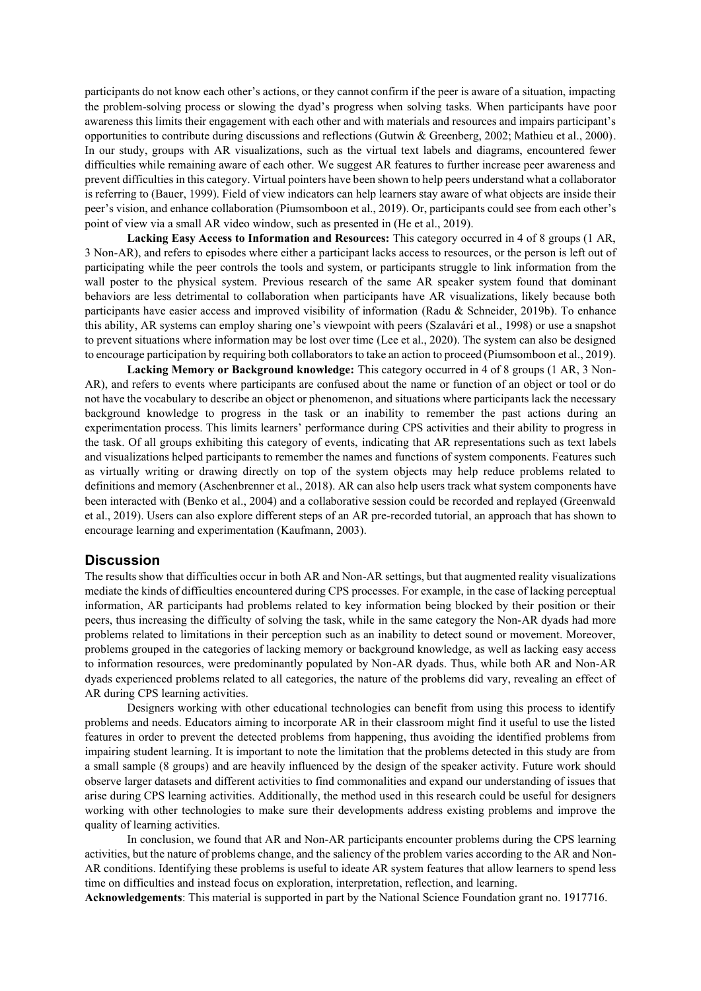participants do not know each other's actions, or they cannot confirm if the peer is aware of a situation, impacting the problem-solving process or slowing the dyad's progress when solving tasks. When participants have poor awareness this limits their engagement with each other and with materials and resources and impairs participant's opportunities to contribute during discussions and reflections (Gutwin & Greenberg, 2002; Mathieu et al., 2000). In our study, groups with AR visualizations, such as the virtual text labels and diagrams, encountered fewer difficulties while remaining aware of each other. We suggest AR features to further increase peer awareness and prevent difficulties in this category. Virtual pointers have been shown to help peers understand what a collaborator is referring to (Bauer, 1999). Field of view indicators can help learners stay aware of what objects are inside their peer's vision, and enhance collaboration (Piumsomboon et al., 2019). Or, participants could see from each other's point of view via a small AR video window, such as presented in (He et al., 2019).

**Lacking Easy Access to Information and Resources:** This category occurred in 4 of 8 groups (1 AR, 3 Non-AR), and refers to episodes where either a participant lacks access to resources, or the person is left out of participating while the peer controls the tools and system, or participants struggle to link information from the wall poster to the physical system. Previous research of the same AR speaker system found that dominant behaviors are less detrimental to collaboration when participants have AR visualizations, likely because both participants have easier access and improved visibility of information (Radu & Schneider, 2019b). To enhance this ability, AR systems can employ sharing one's viewpoint with peers (Szalavári et al., 1998) or use a snapshot to prevent situations where information may be lost over time (Lee et al., 2020). The system can also be designed to encourage participation by requiring both collaborators to take an action to proceed (Piumsomboon et al., 2019).

**Lacking Memory or Background knowledge:** This category occurred in 4 of 8 groups (1 AR, 3 Non-AR), and refers to events where participants are confused about the name or function of an object or tool or do not have the vocabulary to describe an object or phenomenon, and situations where participants lack the necessary background knowledge to progress in the task or an inability to remember the past actions during an experimentation process. This limits learners' performance during CPS activities and their ability to progress in the task. Of all groups exhibiting this category of events, indicating that AR representations such as text labels and visualizations helped participants to remember the names and functions of system components. Features such as virtually writing or drawing directly on top of the system objects may help reduce problems related to definitions and memory (Aschenbrenner et al., 2018). AR can also help users track what system components have been interacted with (Benko et al., 2004) and a collaborative session could be recorded and replayed (Greenwald et al., 2019). Users can also explore different steps of an AR pre-recorded tutorial, an approach that has shown to encourage learning and experimentation (Kaufmann, 2003).

#### **Discussion**

The results show that difficulties occur in both AR and Non-AR settings, but that augmented reality visualizations mediate the kinds of difficulties encountered during CPS processes. For example, in the case of lacking perceptual information, AR participants had problems related to key information being blocked by their position or their peers, thus increasing the difficulty of solving the task, while in the same category the Non-AR dyads had more problems related to limitations in their perception such as an inability to detect sound or movement. Moreover, problems grouped in the categories of lacking memory or background knowledge, as well as lacking easy access to information resources, were predominantly populated by Non-AR dyads. Thus, while both AR and Non-AR dyads experienced problems related to all categories, the nature of the problems did vary, revealing an effect of AR during CPS learning activities.

Designers working with other educational technologies can benefit from using this process to identify problems and needs. Educators aiming to incorporate AR in their classroom might find it useful to use the listed features in order to prevent the detected problems from happening, thus avoiding the identified problems from impairing student learning. It is important to note the limitation that the problems detected in this study are from a small sample (8 groups) and are heavily influenced by the design of the speaker activity. Future work should observe larger datasets and different activities to find commonalities and expand our understanding of issues that arise during CPS learning activities. Additionally, the method used in this research could be useful for designers working with other technologies to make sure their developments address existing problems and improve the quality of learning activities.

In conclusion, we found that AR and Non-AR participants encounter problems during the CPS learning activities, but the nature of problems change, and the saliency of the problem varies according to the AR and Non-AR conditions. Identifying these problems is useful to ideate AR system features that allow learners to spend less time on difficulties and instead focus on exploration, interpretation, reflection, and learning.

**Acknowledgements**: This material is supported in part by the National Science Foundation grant no. 1917716.